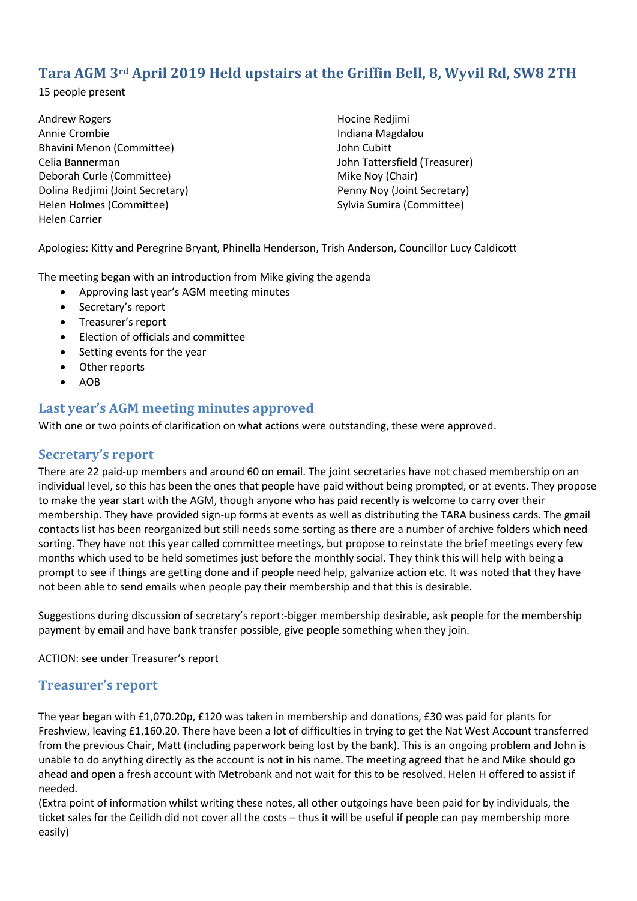# **Tara AGM 3rd April 2019 Held upstairs at the Griffin Bell, 8, Wyvil Rd, SW8 2TH**

15 people present

Andrew Rogers Annie Crombie Bhavini Menon (Committee) Celia Bannerman Deborah Curle (Committee) Dolina Redjimi (Joint Secretary) Helen Holmes (Committee) Helen Carrier

Hocine Redjimi Indiana Magdalou John Cubitt John Tattersfield (Treasurer) Mike Noy (Chair) Penny Noy (Joint Secretary) Sylvia Sumira (Committee)

Apologies: Kitty and Peregrine Bryant, Phinella Henderson, Trish Anderson, Councillor Lucy Caldicott

The meeting began with an introduction from Mike giving the agenda

- Approving last year's AGM meeting minutes
- Secretary's report
- Treasurer's report
- Election of officials and committee
- Setting events for the year
- Other reports
- $\bullet$  AOB

## **Last year's AGM meeting minutes approved**

With one or two points of clarification on what actions were outstanding, these were approved.

#### **Secretary's report**

There are 22 paid-up members and around 60 on email. The joint secretaries have not chased membership on an individual level, so this has been the ones that people have paid without being prompted, or at events. They propose to make the year start with the AGM, though anyone who has paid recently is welcome to carry over their membership. They have provided sign-up forms at events as well as distributing the TARA business cards. The gmail contacts list has been reorganized but still needs some sorting as there are a number of archive folders which need sorting. They have not this year called committee meetings, but propose to reinstate the brief meetings every few months which used to be held sometimes just before the monthly social. They think this will help with being a prompt to see if things are getting done and if people need help, galvanize action etc. It was noted that they have not been able to send emails when people pay their membership and that this is desirable.

Suggestions during discussion of secretary's report:-bigger membership desirable, ask people for the membership payment by email and have bank transfer possible, give people something when they join.

ACTION: see under Treasurer's report

#### **Treasurer's report**

The year began with £1,070.20p, £120 was taken in membership and donations, £30 was paid for plants for Freshview, leaving £1,160.20. There have been a lot of difficulties in trying to get the Nat West Account transferred from the previous Chair, Matt (including paperwork being lost by the bank). This is an ongoing problem and John is unable to do anything directly as the account is not in his name. The meeting agreed that he and Mike should go ahead and open a fresh account with Metrobank and not wait for this to be resolved. Helen H offered to assist if needed.

(Extra point of information whilst writing these notes, all other outgoings have been paid for by individuals, the ticket sales for the Ceilidh did not cover all the costs – thus it will be useful if people can pay membership more easily)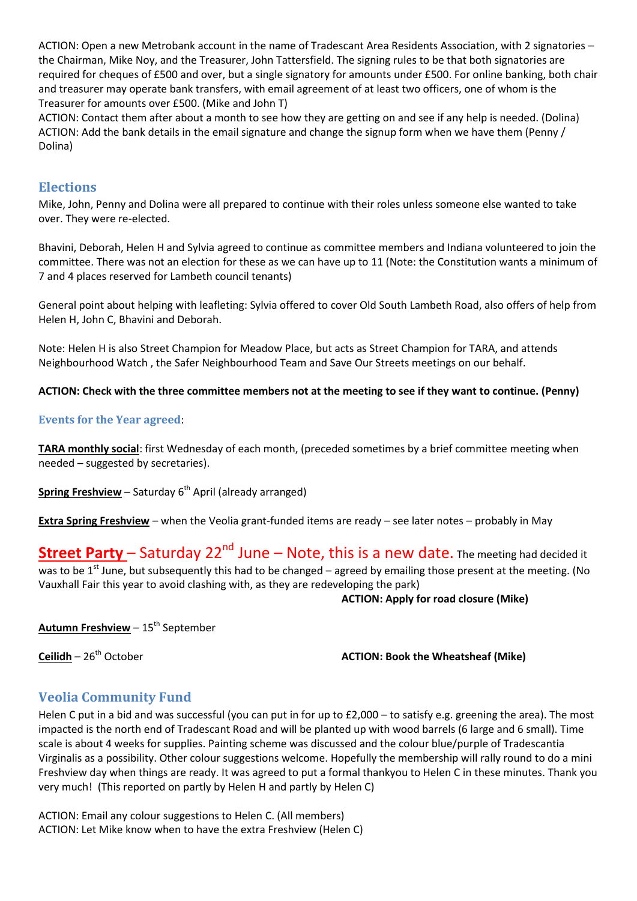ACTION: Open a new Metrobank account in the name of Tradescant Area Residents Association, with 2 signatories – the Chairman, Mike Noy, and the Treasurer, John Tattersfield. The signing rules to be that both signatories are required for cheques of £500 and over, but a single signatory for amounts under £500. For online banking, both chair and treasurer may operate bank transfers, with email agreement of at least two officers, one of whom is the Treasurer for amounts over £500. (Mike and John T)

ACTION: Contact them after about a month to see how they are getting on and see if any help is needed. (Dolina) ACTION: Add the bank details in the email signature and change the signup form when we have them (Penny / Dolina)

## **Elections**

Mike, John, Penny and Dolina were all prepared to continue with their roles unless someone else wanted to take over. They were re-elected.

Bhavini, Deborah, Helen H and Sylvia agreed to continue as committee members and Indiana volunteered to join the committee. There was not an election for these as we can have up to 11 (Note: the Constitution wants a minimum of 7 and 4 places reserved for Lambeth council tenants)

General point about helping with leafleting: Sylvia offered to cover Old South Lambeth Road, also offers of help from Helen H, John C, Bhavini and Deborah.

Note: Helen H is also Street Champion for Meadow Place, but acts as Street Champion for TARA, and attends Neighbourhood Watch , the Safer Neighbourhood Team and Save Our Streets meetings on our behalf.

#### **ACTION: Check with the three committee members not at the meeting to see if they want to continue. (Penny)**

#### **Events for the Year agreed**:

**TARA monthly social**: first Wednesday of each month, (preceded sometimes by a brief committee meeting when needed – suggested by secretaries).

**Spring Freshview** – Saturday 6<sup>th</sup> April (already arranged)

**Extra Spring Freshview** – when the Veolia grant-funded items are ready – see later notes – probably in May

# **Street Party** – Saturday 22<sup>nd</sup> June – Note, this is a new date. The meeting had decided it

was to be  $1<sup>st</sup>$  June, but subsequently this had to be changed – agreed by emailing those present at the meeting. (No Vauxhall Fair this year to avoid clashing with, as they are redeveloping the park)

**ACTION: Apply for road closure (Mike)**

**Autumn Freshview - 15<sup>th</sup> September** 

**Ceilidh** – 26<sup>th</sup> October **ACTION: Book the Wheatsheaf (Mike)** 

# **Veolia Community Fund**

Helen C put in a bid and was successful (you can put in for up to £2,000 – to satisfy e.g. greening the area). The most impacted is the north end of Tradescant Road and will be planted up with wood barrels (6 large and 6 small). Time scale is about 4 weeks for supplies. Painting scheme was discussed and the colour blue/purple of Tradescantia Virginalis as a possibility. Other colour suggestions welcome. Hopefully the membership will rally round to do a mini Freshview day when things are ready. It was agreed to put a formal thankyou to Helen C in these minutes. Thank you very much! (This reported on partly by Helen H and partly by Helen C)

ACTION: Email any colour suggestions to Helen C. (All members) ACTION: Let Mike know when to have the extra Freshview (Helen C)